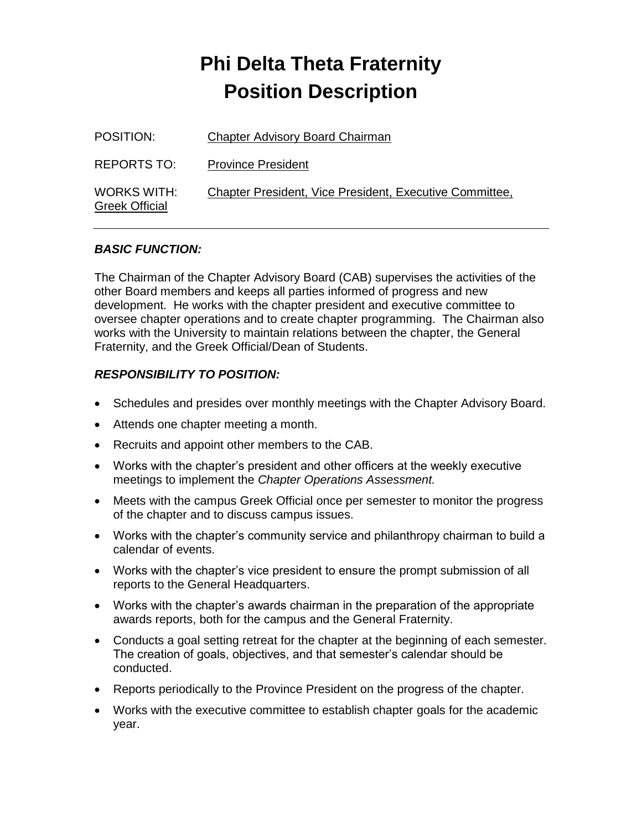| POSITION:                            | <b>Chapter Advisory Board Chairman</b>                  |
|--------------------------------------|---------------------------------------------------------|
| REPORTS TO:                          | <b>Province President</b>                               |
| WORKS WITH:<br><b>Greek Official</b> | Chapter President, Vice President, Executive Committee, |

#### *BASIC FUNCTION:*

The Chairman of the Chapter Advisory Board (CAB) supervises the activities of the other Board members and keeps all parties informed of progress and new development. He works with the chapter president and executive committee to oversee chapter operations and to create chapter programming. The Chairman also works with the University to maintain relations between the chapter, the General Fraternity, and the Greek Official/Dean of Students.

- Schedules and presides over monthly meetings with the Chapter Advisory Board.
- Attends one chapter meeting a month.
- Recruits and appoint other members to the CAB.
- Works with the chapter's president and other officers at the weekly executive meetings to implement the *Chapter Operations Assessment.*
- Meets with the campus Greek Official once per semester to monitor the progress of the chapter and to discuss campus issues.
- Works with the chapter's community service and philanthropy chairman to build a calendar of events.
- Works with the chapter's vice president to ensure the prompt submission of all reports to the General Headquarters.
- Works with the chapter's awards chairman in the preparation of the appropriate awards reports, both for the campus and the General Fraternity.
- Conducts a goal setting retreat for the chapter at the beginning of each semester. The creation of goals, objectives, and that semester's calendar should be conducted.
- Reports periodically to the Province President on the progress of the chapter.
- Works with the executive committee to establish chapter goals for the academic year.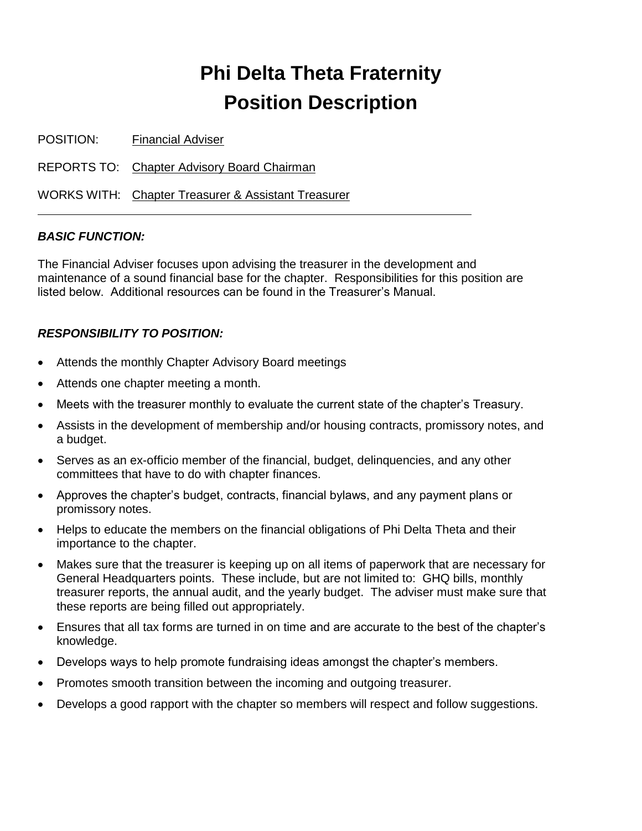POSITION: Financial Adviser

REPORTS TO: Chapter Advisory Board Chairman

WORKS WITH: Chapter Treasurer & Assistant Treasurer

#### *BASIC FUNCTION:*

The Financial Adviser focuses upon advising the treasurer in the development and maintenance of a sound financial base for the chapter. Responsibilities for this position are listed below. Additional resources can be found in the Treasurer's Manual.

- Attends the monthly Chapter Advisory Board meetings
- Attends one chapter meeting a month.
- Meets with the treasurer monthly to evaluate the current state of the chapter's Treasury.
- Assists in the development of membership and/or housing contracts, promissory notes, and a budget.
- Serves as an ex-officio member of the financial, budget, delinquencies, and any other committees that have to do with chapter finances.
- Approves the chapter's budget, contracts, financial bylaws, and any payment plans or promissory notes.
- Helps to educate the members on the financial obligations of Phi Delta Theta and their importance to the chapter.
- Makes sure that the treasurer is keeping up on all items of paperwork that are necessary for General Headquarters points. These include, but are not limited to: GHQ bills, monthly treasurer reports, the annual audit, and the yearly budget. The adviser must make sure that these reports are being filled out appropriately.
- Ensures that all tax forms are turned in on time and are accurate to the best of the chapter's knowledge.
- Develops ways to help promote fundraising ideas amongst the chapter's members.
- Promotes smooth transition between the incoming and outgoing treasurer.
- Develops a good rapport with the chapter so members will respect and follow suggestions.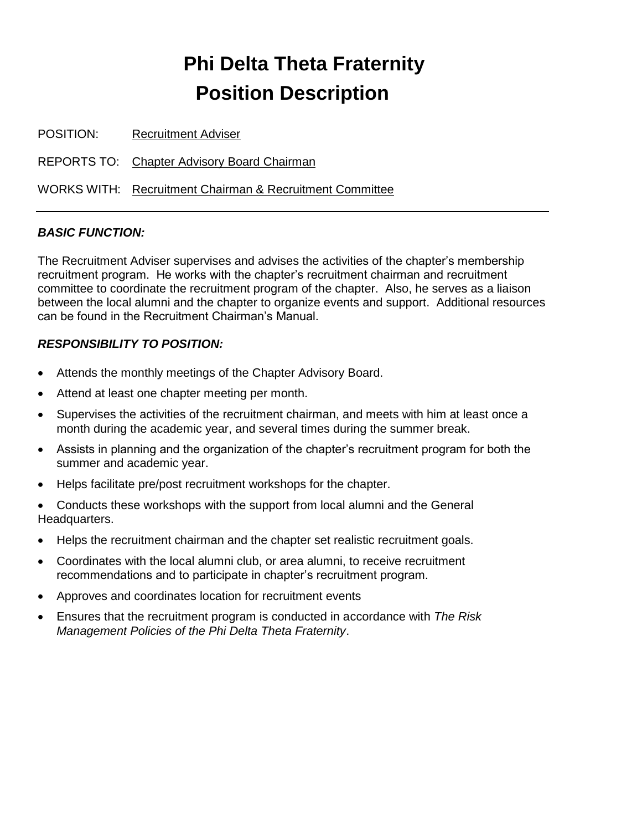POSITION: Recruitment Adviser

REPORTS TO: Chapter Advisory Board Chairman

WORKS WITH: Recruitment Chairman & Recruitment Committee

#### *BASIC FUNCTION:*

The Recruitment Adviser supervises and advises the activities of the chapter's membership recruitment program. He works with the chapter's recruitment chairman and recruitment committee to coordinate the recruitment program of the chapter. Also, he serves as a liaison between the local alumni and the chapter to organize events and support. Additional resources can be found in the Recruitment Chairman's Manual.

- Attends the monthly meetings of the Chapter Advisory Board.
- Attend at least one chapter meeting per month.
- Supervises the activities of the recruitment chairman, and meets with him at least once a month during the academic year, and several times during the summer break.
- Assists in planning and the organization of the chapter's recruitment program for both the summer and academic year.
- Helps facilitate pre/post recruitment workshops for the chapter.
- Conducts these workshops with the support from local alumni and the General Headquarters.
- Helps the recruitment chairman and the chapter set realistic recruitment goals.
- Coordinates with the local alumni club, or area alumni, to receive recruitment recommendations and to participate in chapter's recruitment program.
- Approves and coordinates location for recruitment events
- Ensures that the recruitment program is conducted in accordance with *The Risk Management Policies of the Phi Delta Theta Fraternity*.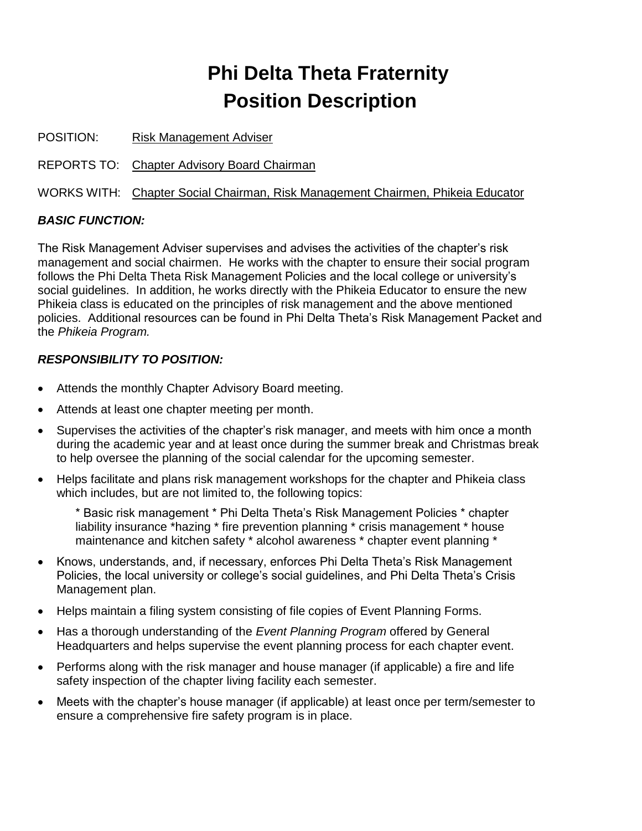POSITION: Risk Management Adviser

REPORTS TO: Chapter Advisory Board Chairman

WORKS WITH: Chapter Social Chairman, Risk Management Chairmen, Phikeia Educator

#### *BASIC FUNCTION:*

The Risk Management Adviser supervises and advises the activities of the chapter's risk management and social chairmen. He works with the chapter to ensure their social program follows the Phi Delta Theta Risk Management Policies and the local college or university's social guidelines. In addition, he works directly with the Phikeia Educator to ensure the new Phikeia class is educated on the principles of risk management and the above mentioned policies. Additional resources can be found in Phi Delta Theta's Risk Management Packet and the *Phikeia Program.*

#### *RESPONSIBILITY TO POSITION:*

- Attends the monthly Chapter Advisory Board meeting.
- Attends at least one chapter meeting per month.
- Supervises the activities of the chapter's risk manager, and meets with him once a month during the academic year and at least once during the summer break and Christmas break to help oversee the planning of the social calendar for the upcoming semester.
- Helps facilitate and plans risk management workshops for the chapter and Phikeia class which includes, but are not limited to, the following topics:

\* Basic risk management \* Phi Delta Theta's Risk Management Policies \* chapter liability insurance \*hazing \* fire prevention planning \* crisis management \* house maintenance and kitchen safety \* alcohol awareness \* chapter event planning \*

- Knows, understands, and, if necessary, enforces Phi Delta Theta's Risk Management Policies, the local university or college's social guidelines, and Phi Delta Theta's Crisis Management plan.
- Helps maintain a filing system consisting of file copies of Event Planning Forms.
- Has a thorough understanding of the *Event Planning Program* offered by General Headquarters and helps supervise the event planning process for each chapter event.
- Performs along with the risk manager and house manager (if applicable) a fire and life safety inspection of the chapter living facility each semester.
- Meets with the chapter's house manager (if applicable) at least once per term/semester to ensure a comprehensive fire safety program is in place.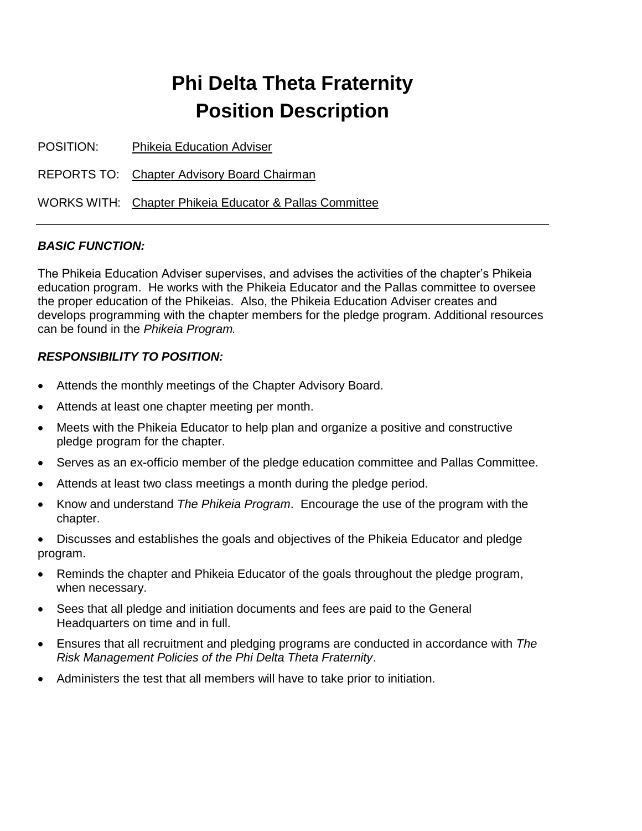POSITION: Phikeia Education Adviser

REPORTS TO: Chapter Advisory Board Chairman

WORKS WITH: Chapter Phikeia Educator & Pallas Committee

#### *BASIC FUNCTION:*

The Phikeia Education Adviser supervises, and advises the activities of the chapter's Phikeia education program. He works with the Phikeia Educator and the Pallas committee to oversee the proper education of the Phikeias. Also, the Phikeia Education Adviser creates and develops programming with the chapter members for the pledge program. Additional resources can be found in the *Phikeia Program.*

- Attends the monthly meetings of the Chapter Advisory Board.
- Attends at least one chapter meeting per month.
- Meets with the Phikeia Educator to help plan and organize a positive and constructive pledge program for the chapter.
- Serves as an ex-officio member of the pledge education committee and Pallas Committee.
- Attends at least two class meetings a month during the pledge period.
- Know and understand *The Phikeia Program*. Encourage the use of the program with the chapter.
- Discusses and establishes the goals and objectives of the Phikeia Educator and pledge program.
- Reminds the chapter and Phikeia Educator of the goals throughout the pledge program, when necessary.
- Sees that all pledge and initiation documents and fees are paid to the General Headquarters on time and in full.
- Ensures that all recruitment and pledging programs are conducted in accordance with *The Risk Management Policies of the Phi Delta Theta Fraternity*.
- Administers the test that all members will have to take prior to initiation.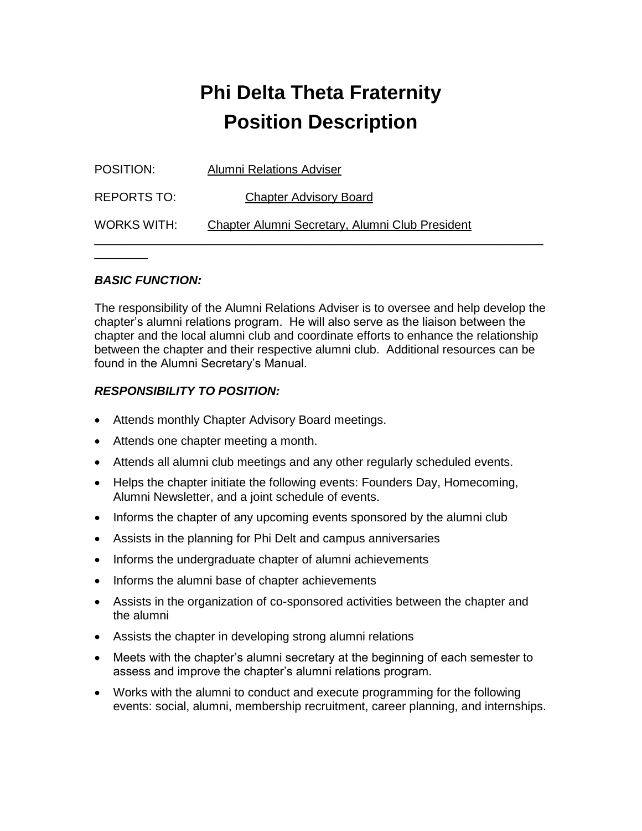| POSITION:   | <b>Alumni Relations Adviser</b>                 |
|-------------|-------------------------------------------------|
| REPORTS TO: | <b>Chapter Advisory Board</b>                   |
| WORKS WITH: | Chapter Alumni Secretary, Alumni Club President |

#### *BASIC FUNCTION:*

 $\overline{\phantom{a}}$   $\overline{\phantom{a}}$   $\overline{\phantom{a}}$   $\overline{\phantom{a}}$   $\overline{\phantom{a}}$   $\overline{\phantom{a}}$   $\overline{\phantom{a}}$   $\overline{\phantom{a}}$   $\overline{\phantom{a}}$   $\overline{\phantom{a}}$   $\overline{\phantom{a}}$   $\overline{\phantom{a}}$   $\overline{\phantom{a}}$   $\overline{\phantom{a}}$   $\overline{\phantom{a}}$   $\overline{\phantom{a}}$   $\overline{\phantom{a}}$   $\overline{\phantom{a}}$   $\overline{\$ 

The responsibility of the Alumni Relations Adviser is to oversee and help develop the chapter's alumni relations program. He will also serve as the liaison between the chapter and the local alumni club and coordinate efforts to enhance the relationship between the chapter and their respective alumni club. Additional resources can be found in the Alumni Secretary's Manual.

- Attends monthly Chapter Advisory Board meetings.
- Attends one chapter meeting a month.
- Attends all alumni club meetings and any other regularly scheduled events.
- Helps the chapter initiate the following events: Founders Day, Homecoming, Alumni Newsletter, and a joint schedule of events.
- Informs the chapter of any upcoming events sponsored by the alumni club
- Assists in the planning for Phi Delt and campus anniversaries
- Informs the undergraduate chapter of alumni achievements
- Informs the alumni base of chapter achievements
- Assists in the organization of co-sponsored activities between the chapter and the alumni
- Assists the chapter in developing strong alumni relations
- Meets with the chapter's alumni secretary at the beginning of each semester to assess and improve the chapter's alumni relations program.
- Works with the alumni to conduct and execute programming for the following events: social, alumni, membership recruitment, career planning, and internships.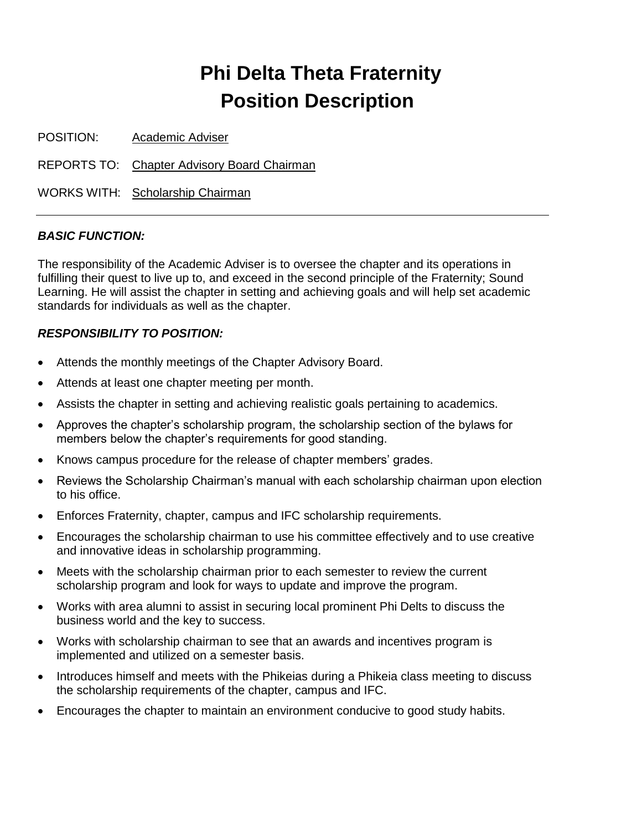POSITION: Academic Adviser

REPORTS TO: Chapter Advisory Board Chairman

WORKS WITH: Scholarship Chairman

#### *BASIC FUNCTION:*

The responsibility of the Academic Adviser is to oversee the chapter and its operations in fulfilling their quest to live up to, and exceed in the second principle of the Fraternity; Sound Learning. He will assist the chapter in setting and achieving goals and will help set academic standards for individuals as well as the chapter.

- Attends the monthly meetings of the Chapter Advisory Board.
- Attends at least one chapter meeting per month.
- Assists the chapter in setting and achieving realistic goals pertaining to academics.
- Approves the chapter's scholarship program, the scholarship section of the bylaws for members below the chapter's requirements for good standing.
- Knows campus procedure for the release of chapter members' grades.
- Reviews the Scholarship Chairman's manual with each scholarship chairman upon election to his office.
- Enforces Fraternity, chapter, campus and IFC scholarship requirements.
- Encourages the scholarship chairman to use his committee effectively and to use creative and innovative ideas in scholarship programming.
- Meets with the scholarship chairman prior to each semester to review the current scholarship program and look for ways to update and improve the program.
- Works with area alumni to assist in securing local prominent Phi Delts to discuss the business world and the key to success.
- Works with scholarship chairman to see that an awards and incentives program is implemented and utilized on a semester basis.
- Introduces himself and meets with the Phikeias during a Phikeia class meeting to discuss the scholarship requirements of the chapter, campus and IFC.
- Encourages the chapter to maintain an environment conducive to good study habits.